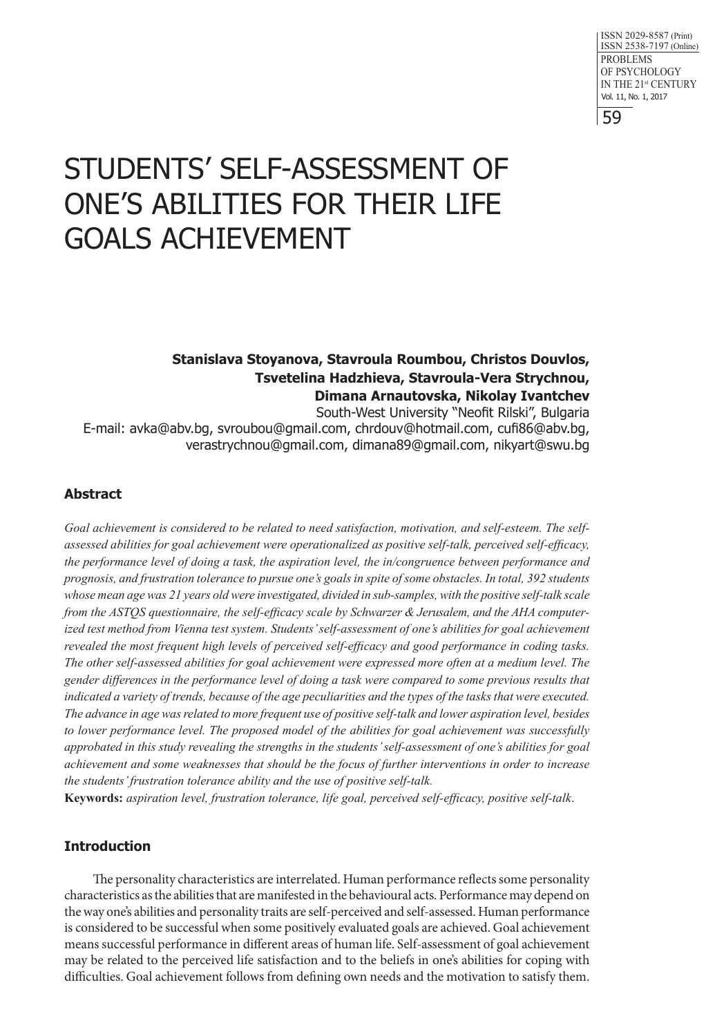# STUDENTS' SELF-ASSESSMENT OF ONE'S ABILITIES FOR THEIR LIFE GOALS ACHIEVEMENT

# **Stanislava Stoyanova, Stavroula Roumbou, Christos Douvlos, Tsvetelina Hadzhieva, Stavroula-Vera Strychnou, Dimana Arnautovska, Nikolay Ivantchev**

South-West University "Neofit Rilski", Bulgaria E-mail: avka@abv.bg, svroubou@gmail.com, chrdouv@hotmail.com, cufi86@abv.bg, verastrychnou@gmail.com, dimana89@gmail.com, nikyart@swu.bg

# **Abstract**

*Goal achievement is considered to be related to need satisfaction, motivation, and self-esteem. The selfassessed abilities for goal achievement were operationalized as positive self-talk, perceived self-efficacy, the performance level of doing a task, the aspiration level, the in/congruence between performance and prognosis, and frustration tolerance to pursue one's goals in spite of some obstacles. In total, 392 students whose mean age was 21 years old were investigated, divided in sub-samples, with the positive self-talk scale from the ASTQS questionnaire, the self-efficacy scale by Schwarzer & Jerusalem, and the AHA computerized test method from Vienna test system. Students' self-assessment of one's abilities for goal achievement revealed the most frequent high levels of perceived self-efficacy and good performance in coding tasks. The other self-assessed abilities for goal achievement were expressed more often at a medium level. The gender differences in the performance level of doing a task were compared to some previous results that indicated a variety of trends, because of the age peculiarities and the types of the tasks that were executed. The advance in age was related to more frequent use of positive self-talk and lower aspiration level, besides to lower performance level. The proposed model of the abilities for goal achievement was successfully approbated in this study revealing the strengths in the students' self-assessment of one's abilities for goal achievement and some weaknesses that should be the focus of further interventions in order to increase the students' frustration tolerance ability and the use of positive self-talk.*

**Keywords:** *aspiration level, frustration tolerance, life goal, perceived self-efficacy, positive self-talk*.

# **Introduction**

The personality characteristics are interrelated. Human performance reflects some personality characteristics as the abilities that are manifested in the behavioural acts. Performance may depend on the way one's abilities and personality traits are self-perceived and self-assessed. Human performance is considered to be successful when some positively evaluated goals are achieved. Goal achievement means successful performance in different areas of human life. Self-assessment of goal achievement may be related to the perceived life satisfaction and to the beliefs in one's abilities for coping with difficulties. Goal achievement follows from defining own needs and the motivation to satisfy them.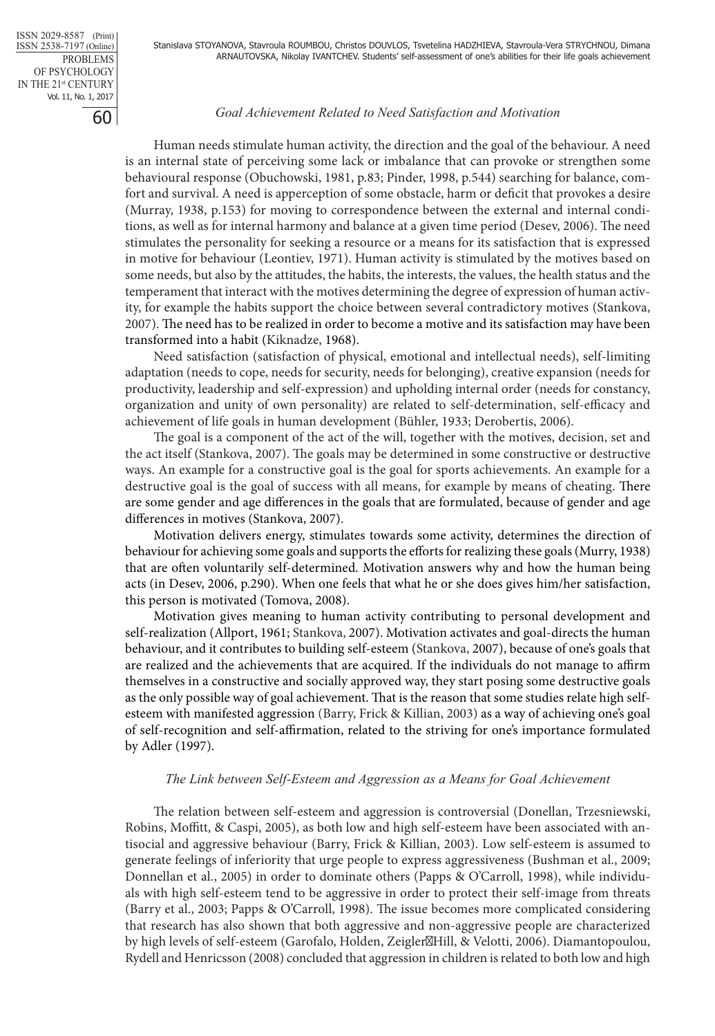#### *Goal Achievement Related to Need Satisfaction and Motivation*

Human needs stimulate human activity, the direction and the goal of the behaviour. A need is an internal state of perceiving some lack or imbalance that can provoke or strengthen some behavioural response (Obuchowski, 1981, p.83; Pinder, 1998, p.544) searching for balance, comfort and survival. A need is apperception of some obstacle, harm or deficit that provokes a desire (Murray, 1938, р.153) for moving to correspondence between the external and internal conditions, as well as for internal harmony and balance at a given time period (Desev, 2006). The need stimulates the personality for seeking a resource or a means for its satisfaction that is expressed in motive for behaviour (Leontiev, 1971). Human activity is stimulated by the motives based on some needs, but also by the attitudes, the habits, the interests, the values, the health status and the temperament that interact with the motives determining the degree of expression of human activity, for example the habits support the choice between several contradictory motives (Stankova, 2007). The need has to be realized in order to become a motive and its satisfaction may have been transformed into a habit (Kiknadze, 1968).

Need satisfaction (satisfaction of physical, emotional and intellectual needs), self-limiting adaptation (needs to cope, needs for security, needs for belonging), creative expansion (needs for productivity, leadership and self-expression) and upholding internal order (needs for constancy, organization and unity of own personality) are related to self-determination, self-efficacy and achievement of life goals in human development (Bühler, 1933; Derobertis, 2006).

The goal is a component of the act of the will, together with the motives, decision, set and the act itself (Stankova, 2007). The goals may be determined in some constructive or destructive ways. An example for a constructive goal is the goal for sports achievements. An example for a destructive goal is the goal of success with all means, for example by means of cheating. There are some gender and age differences in the goals that are formulated, because of gender and age differences in motives (Stankova, 2007).

Motivation delivers energy, stimulates towards some activity, determines the direction of behaviour for achieving some goals and supports the efforts for realizing these goals (Murry, 1938) that are often voluntarily self-determined. Motivation answers why and how the human being acts (in Desev, 2006, p.290). When one feels that what he or she does gives him/her satisfaction, this person is motivated (Tomova, 2008).

Motivation gives meaning to human activity contributing to personal development and self-realization (Allport, 1961; Stankova, 2007). Motivation activates and goal-directs the human behaviour, and it contributes to building self-esteem (Stankova, 2007), because of one's goals that are realized and the achievements that are acquired. If the individuals do not manage to affirm themselves in a constructive and socially approved way, they start posing some destructive goals as the only possible way of goal achievement. That is the reason that some studies relate high selfesteem with manifested aggression (Barry, Frick & Killian, 2003) as a way of achieving one's goal of self-recognition and self-affirmation, related to the striving for one's importance formulated by Adler (1997).

## *The Link between Self-Esteem and Aggression as a Means for Goal Achievement*

The relation between self-esteem and aggression is controversial (Donellan, Trzesniewski, Robins, Moffitt, & Caspi, 2005), as both low and high self-esteem have been associated with antisocial and aggressive behaviour (Barry, Frick & Killian, 2003). Low self-esteem is assumed to generate feelings of inferiority that urge people to express aggressiveness (Bushman et al., 2009; Donnellan et al., 2005) in order to dominate others (Papps & O'Carroll, 1998), while individuals with high self-esteem tend to be aggressive in order to protect their self-image from threats (Barry et al., 2003; Papps & O'Carroll, 1998). The issue becomes more complicated considering that research has also shown that both aggressive and non-aggressive people are characterized by high levels of self-esteem (Garofalo, Holden, Zeigler Hill, & Velotti, 2006). Diamantopoulou, Rydell and Henricsson (2008) concluded that aggression in children is related to both low and high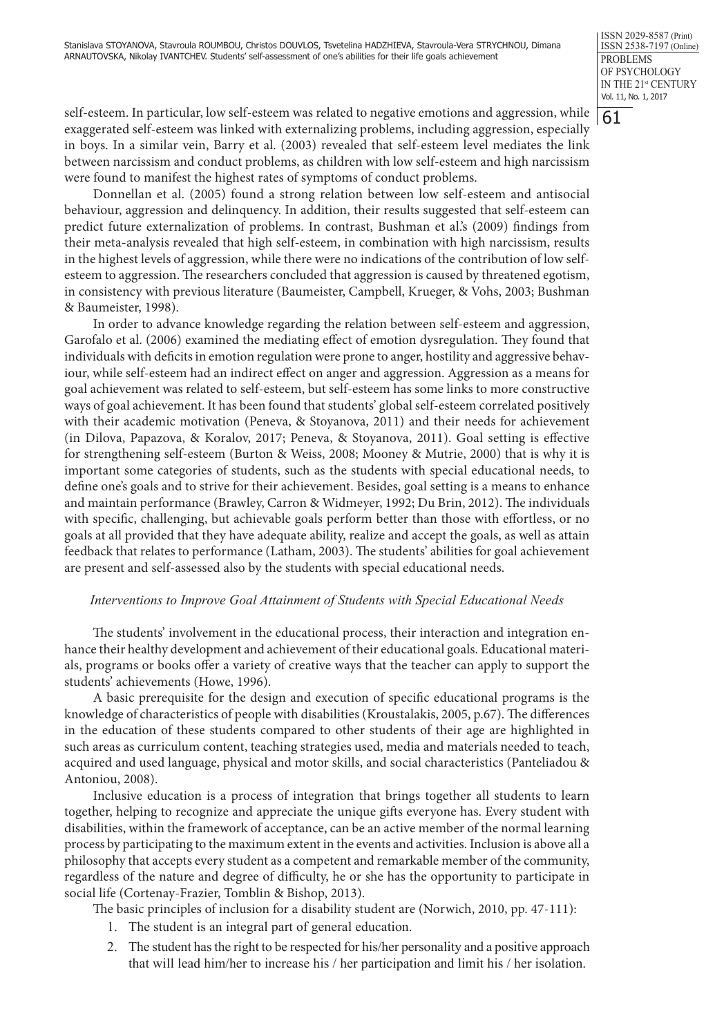61

self-esteem. In particular, low self-esteem was related to negative emotions and aggression, while exaggerated self-esteem was linked with externalizing problems, including aggression, especially in boys. In a similar vein, Barry et al. (2003) revealed that self-esteem level mediates the link between narcissism and conduct problems, as children with low self-esteem and high narcissism were found to manifest the highest rates of symptoms of conduct problems.

Donnellan et al. (2005) found a strong relation between low self-esteem and antisocial behaviour, aggression and delinquency. In addition, their results suggested that self-esteem can predict future externalization of problems. In contrast, Bushman et al.'s (2009) findings from their meta-analysis revealed that high self-esteem, in combination with high narcissism, results in the highest levels of aggression, while there were no indications of the contribution of low selfesteem to aggression. The researchers concluded that aggression is caused by threatened egotism, in consistency with previous literature (Baumeister, Campbell, Krueger, & Vohs, 2003; Bushman & Baumeister, 1998).

In order to advance knowledge regarding the relation between self-esteem and aggression, Garofalo et al. (2006) examined the mediating effect of emotion dysregulation. They found that individuals with deficits in emotion regulation were prone to anger, hostility and aggressive behaviour, while self-esteem had an indirect effect on anger and aggression. Aggression as a means for goal achievement was related to self-esteem, but self-esteem has some links to more constructive ways of goal achievement. It has been found that students' global self-esteem correlated positively with their academic motivation (Peneva, & Stoyanova, 2011) and their needs for achievement (in Dilova, Papazova, & Koralov, 2017; Peneva, & Stoyanova, 2011). Goal setting is effective for strengthening self-esteem (Burton & Weiss, 2008; Mooney & Mutrie, 2000) that is why it is important some categories of students, such as the students with special educational needs, to define one's goals and to strive for their achievement. Besides, goal setting is a means to enhance and maintain performance (Brawley, Carron & Widmeyer, 1992; Du Brin, 2012). The individuals with specific, challenging, but achievable goals perform better than those with effortless, or no goals at all provided that they have adequate ability, realize and accept the goals, as well as attain feedback that relates to performance (Latham, 2003). The students' abilities for goal achievement are present and self-assessed also by the students with special educational needs.

# *Interventions to Improve Goal Attainment of Students with Special Educational Needs*

The students' involvement in the educational process, their interaction and integration enhance their healthy development and achievement of their educational goals. Educational materials, programs or books offer a variety of creative ways that the teacher can apply to support the students' achievements (Howe, 1996).

A basic prerequisite for the design and execution of specific educational programs is the knowledge of characteristics of people with disabilities (Kroustalakis, 2005, p.67). The differences in the education of these students compared to other students of their age are highlighted in such areas as curriculum content, teaching strategies used, media and materials needed to teach, acquired and used language, physical and motor skills, and social characteristics (Panteliadou & Antoniou, 2008).

Inclusive education is a process of integration that brings together all students to learn together, helping to recognize and appreciate the unique gifts everyone has. Every student with disabilities, within the framework of acceptance, can be an active member of the normal learning process by participating to the maximum extent in the events and activities. Inclusion is above all a philosophy that accepts every student as a competent and remarkable member of the community, regardless of the nature and degree of difficulty, he or she has the opportunity to participate in social life (Cortenay-Frazier, Tomblin & Bishop, 2013).

The basic principles of inclusion for a disability student are (Norwich, 2010, pp. 47-111):

- 1. The student is an integral part of general education.
- 2. The student has the right to be respected for his/her personality and a positive approach that will lead him/her to increase his / her participation and limit his / her isolation.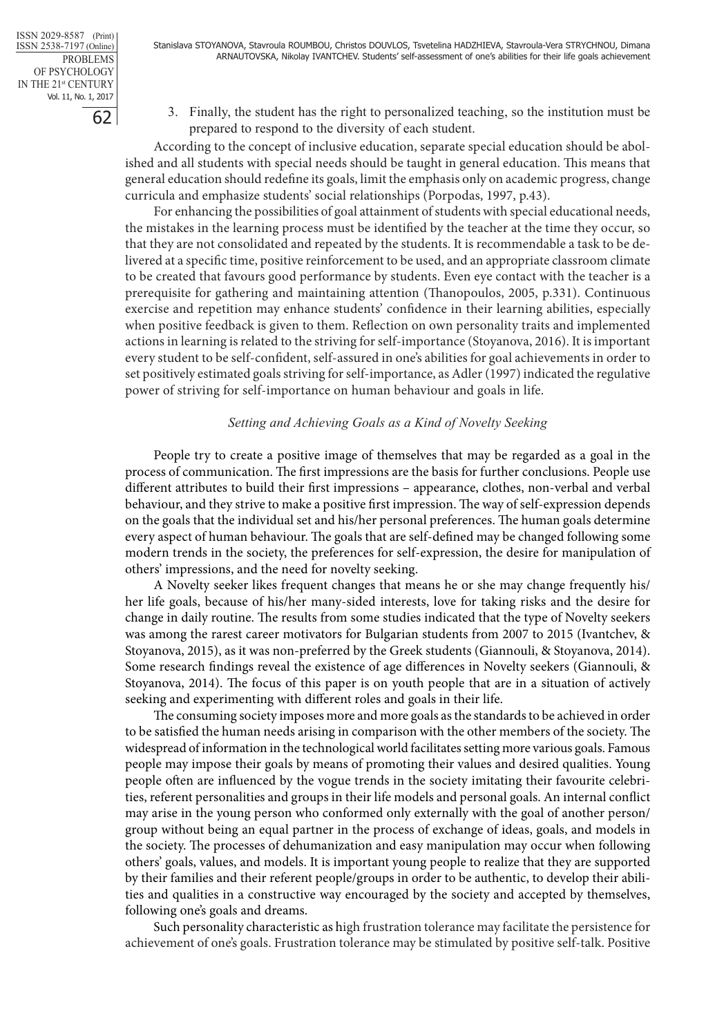3. Finally, the student has the right to personalized teaching, so the institution must be prepared to respond to the diversity of each student.

According to the concept of inclusive education, separate special education should be abolished and all students with special needs should be taught in general education. This means that general education should redefine its goals, limit the emphasis only on academic progress, change curricula and emphasize students' social relationships (Porpodas, 1997, p.43).

For enhancing the possibilities of goal attainment of students with special educational needs, the mistakes in the learning process must be identified by the teacher at the time they occur, so that they are not consolidated and repeated by the students. It is recommendable a task to be delivered at a specific time, positive reinforcement to be used, and an appropriate classroom climate to be created that favours good performance by students. Even eye contact with the teacher is a prerequisite for gathering and maintaining attention (Thanopoulos, 2005, p.331). Continuous exercise and repetition may enhance students' confidence in their learning abilities, especially when positive feedback is given to them. Reflection on own personality traits and implemented actions in learning is related to the striving for self-importance (Stoyanova, 2016). It is important every student to be self-confident, self-assured in one's abilities for goal achievements in order to set positively estimated goals striving for self-importance, as Adler (1997) indicated the regulative power of striving for self-importance on human behaviour and goals in life.

## *Setting and Achieving Goals as a Kind of Novelty Seeking*

People try to create a positive image of themselves that may be regarded as a goal in the process of communication. The first impressions are the basis for further conclusions. People use different attributes to build their first impressions – appearance, clothes, non-verbal and verbal behaviour, and they strive to make a positive first impression. The way of self-expression depends on the goals that the individual set and his/her personal preferences. The human goals determine every aspect of human behaviour. The goals that are self-defined may be changed following some modern trends in the society, the preferences for self-expression, the desire for manipulation of others' impressions, and the need for novelty seeking.

A Novelty seeker likes frequent changes that means he or she may change frequently his/ her life goals, because of his/her many-sided interests, love for taking risks and the desire for change in daily routine. The results from some studies indicated that the type of Novelty seekers was among the rarest career motivators for Bulgarian students from 2007 to 2015 (Ivantchev, & Stoyanova, 2015), as it was non-preferred by the Greek students (Giannouli, & Stoyanova, 2014). Some research findings reveal the existence of age differences in Novelty seekers (Giannouli, & Stoyanova, 2014). The focus of this paper is on youth people that are in a situation of actively seeking and experimenting with different roles and goals in their life.

The consuming society imposes more and more goals as the standards to be achieved in order to be satisfied the human needs arising in comparison with the other members of the society. The widespread of information in the technological world facilitates setting more various goals. Famous people may impose their goals by means of promoting their values and desired qualities. Young people often are influenced by the vogue trends in the society imitating their favourite celebrities, referent personalities and groups in their life models and personal goals. An internal conflict may arise in the young person who conformed only externally with the goal of another person/ group without being an equal partner in the process of exchange of ideas, goals, and models in the society. The processes of dehumanization and easy manipulation may occur when following others' goals, values, and models. It is important young people to realize that they are supported by their families and their referent people/groups in order to be authentic, to develop their abilities and qualities in a constructive way encouraged by the society and accepted by themselves, following one's goals and dreams.

Such personality characteristic as high frustration tolerance may facilitate the persistence for achievement of one's goals. Frustration tolerance may be stimulated by positive self-talk. Positive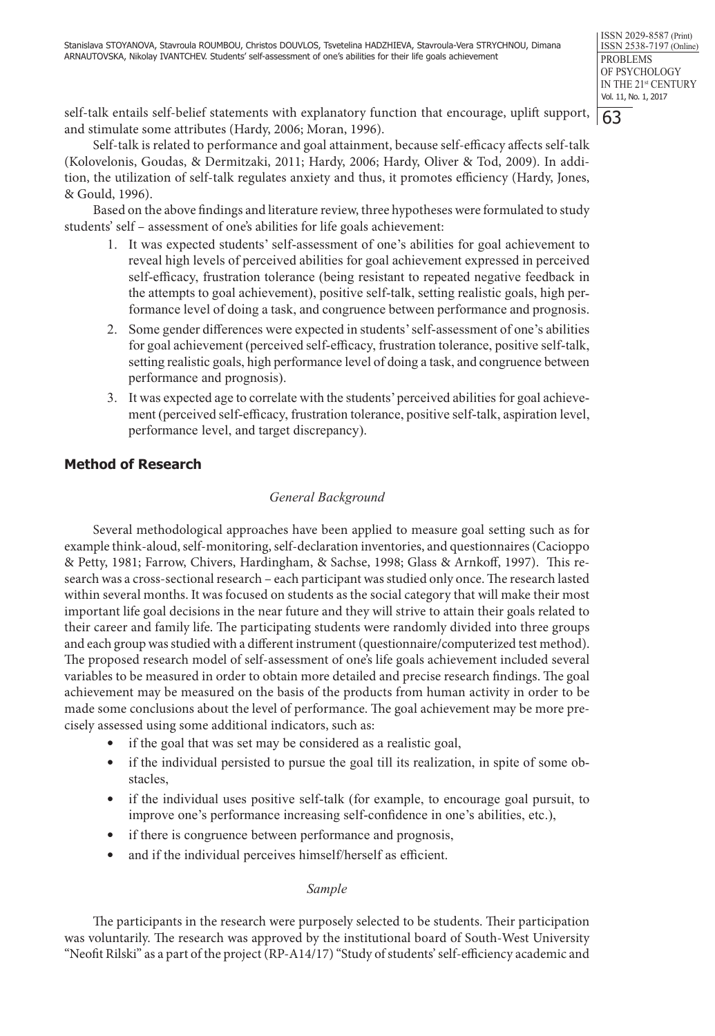self-talk entails self-belief statements with explanatory function that encourage, uplift support, and stimulate some attributes (Hardy, 2006; Moran, 1996).

Self-talk is related to performance and goal attainment, because self-efficacy affects self-talk (Kolovelonis, Goudas, & Dermitzaki, 2011; Hardy, 2006; Hardy, Oliver & Tod, 2009). In addition, the utilization of self-talk regulates anxiety and thus, it promotes efficiency (Hardy, Jones, & Gould, 1996).

Based on the above findings and literature review, three hypotheses were formulated to study students' self – assessment of one's abilities for life goals achievement:

- 1. It was expected students' self-assessment of one's abilities for goal achievement to reveal high levels of perceived abilities for goal achievement expressed in perceived self-efficacy, frustration tolerance (being resistant to repeated negative feedback in the attempts to goal achievement), positive self-talk, setting realistic goals, high performance level of doing a task, and congruence between performance and prognosis.
- 2. Some gender differences were expected in students' self-assessment of one's abilities for goal achievement (perceived self-efficacy, frustration tolerance, positive self-talk, setting realistic goals, high performance level of doing a task, and congruence between performance and prognosis).
- 3. It was expected age to correlate with the students' perceived abilities for goal achievement (perceived self-efficacy, frustration tolerance, positive self-talk, aspiration level, performance level, and target discrepancy).

# **Method of Research**

## *General Background*

Several methodological approaches have been applied to measure goal setting such as for example think-aloud, self-monitoring, self-declaration inventories, and questionnaires (Cacioppo & Petty, 1981; Farrow, Chivers, Hardingham, & Sachse, 1998; Glass & Arnkoff, 1997). This research was a cross-sectional research – each participant was studied only once. The research lasted within several months. It was focused on students as the social category that will make their most important life goal decisions in the near future and they will strive to attain their goals related to their career and family life. The participating students were randomly divided into three groups and each group was studied with a different instrument (questionnaire/computerized test method). The proposed research model of self-assessment of one's life goals achievement included several variables to be measured in order to obtain more detailed and precise research findings. The goal achievement may be measured on the basis of the products from human activity in order to be made some conclusions about the level of performance. The goal achievement may be more precisely assessed using some additional indicators, such as:

- if the goal that was set may be considered as a realistic goal,
- if the individual persisted to pursue the goal till its realization, in spite of some obstacles,
- if the individual uses positive self-talk (for example, to encourage goal pursuit, to improve one's performance increasing self-confidence in one's abilities, etc.),
- if there is congruence between performance and prognosis,
- and if the individual perceives himself/herself as efficient.

## *Sample*

The participants in the research were purposely selected to be students. Their participation was voluntarily. The research was approved by the institutional board of South-West University "Neofit Rilski" as a part of the project (RP-A14/17) "Study of students' self-efficiency academic and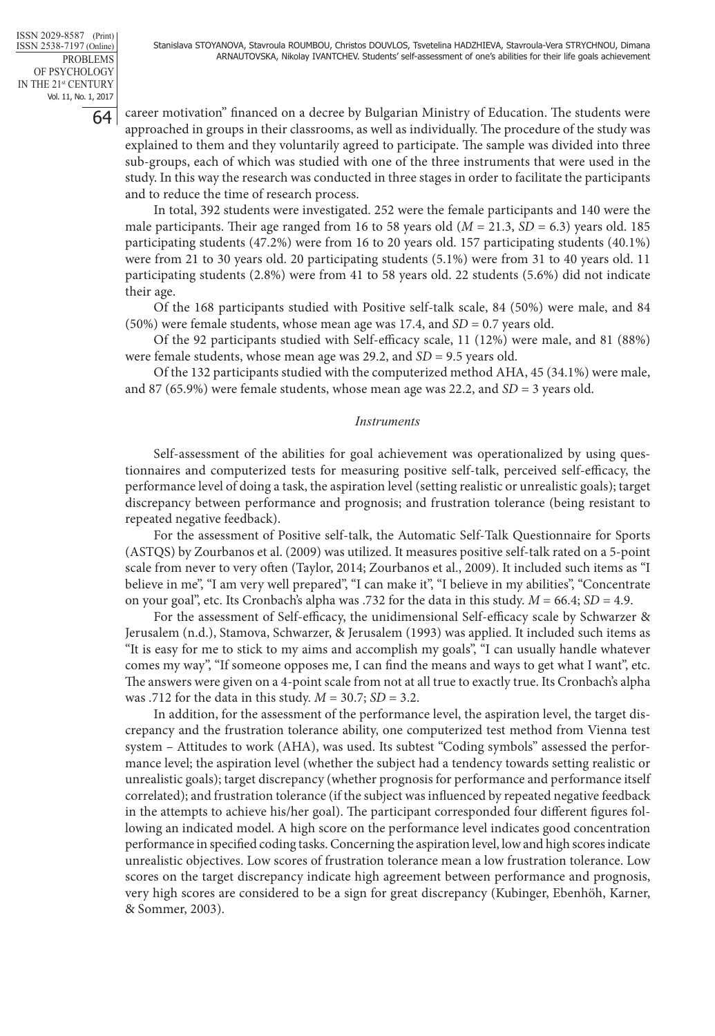64

career motivation" financed on a decree by Bulgarian Ministry of Education. The students were approached in groups in their classrooms, as well as individually. The procedure of the study was explained to them and they voluntarily agreed to participate. The sample was divided into three sub-groups, each of which was studied with one of the three instruments that were used in the study. In this way the research was conducted in three stages in order to facilitate the participants and to reduce the time of research process.

In total, 392 students were investigated. 252 were the female participants and 140 were the male participants. Their age ranged from 16 to 58 years old  $(M = 21.3, SD = 6.3)$  years old. 185 participating students (47.2%) were from 16 to 20 years old. 157 participating students (40.1%) were from 21 to 30 years old. 20 participating students (5.1%) were from 31 to 40 years old. 11 participating students (2.8%) were from 41 to 58 years old. 22 students (5.6%) did not indicate their age.

Of the 168 participants studied with Positive self-talk scale, 84 (50%) were male, and 84 (50%) were female students, whose mean age was 17.4, and *SD* = 0.7 years old.

Of the 92 participants studied with Self-efficacy scale, 11 (12%) were male, and 81 (88%) were female students, whose mean age was 29.2, and *SD* = 9.5 years old.

Of the 132 participants studied with the computerized method AHA, 45 (34.1%) were male, and 87 (65.9%) were female students, whose mean age was 22.2, and *SD* = 3 years old.

#### *Instruments*

Self-assessment of the abilities for goal achievement was operationalized by using questionnaires and computerized tests for measuring positive self-talk, perceived self-efficacy, the performance level of doing a task, the aspiration level (setting realistic or unrealistic goals); target discrepancy between performance and prognosis; and frustration tolerance (being resistant to repeated negative feedback).

For the assessment of Positive self-talk, the Automatic Self-Talk Questionnaire for Sports (ASTQS) by Zourbanos et al. (2009) was utilized. It measures positive self-talk rated on a 5-point scale from never to very often (Taylor, 2014; Zourbanos et al., 2009). It included such items as "I believe in me", "I am very well prepared", "I can make it", "I believe in my abilities", "Concentrate on your goal", etc. Its Cronbach's alpha was .732 for the data in this study. *M* = 66.4; *SD* = 4.9.

For the assessment of Self-efficacy, the unidimensional Self-efficacy scale by Schwarzer & Jerusalem (n.d.), Stamova, Schwarzer, & Jerusalem (1993) was applied. It included such items as "It is easy for me to stick to my aims and accomplish my goals", "I can usually handle whatever comes my way", "If someone opposes me, I can find the means and ways to get what I want", etc. The answers were given on a 4-point scale from not at all true to exactly true. Its Cronbach's alpha was .712 for the data in this study. *M* = 30.7; *SD* = 3.2.

In addition, for the assessment of the performance level, the aspiration level, the target discrepancy and the frustration tolerance ability, one computerized test method from Vienna test system – Attitudes to work (AHA), was used. Its subtest "Coding symbols" assessed the performance level; the aspiration level (whether the subject had a tendency towards setting realistic or unrealistic goals); target discrepancy (whether prognosis for performance and performance itself correlated); and frustration tolerance (if the subject was influenced by repeated negative feedback in the attempts to achieve his/her goal). The participant corresponded four different figures following an indicated model. A high score on the performance level indicates good concentration performance in specified coding tasks. Concerning the aspiration level, low and high scores indicate unrealistic objectives. Low scores of frustration tolerance mean a low frustration tolerance. Low scores on the target discrepancy indicate high agreement between performance and prognosis, very high scores are considered to be a sign for great discrepancy (Kubinger, Ebenhöh, Karner, & Sommer, 2003).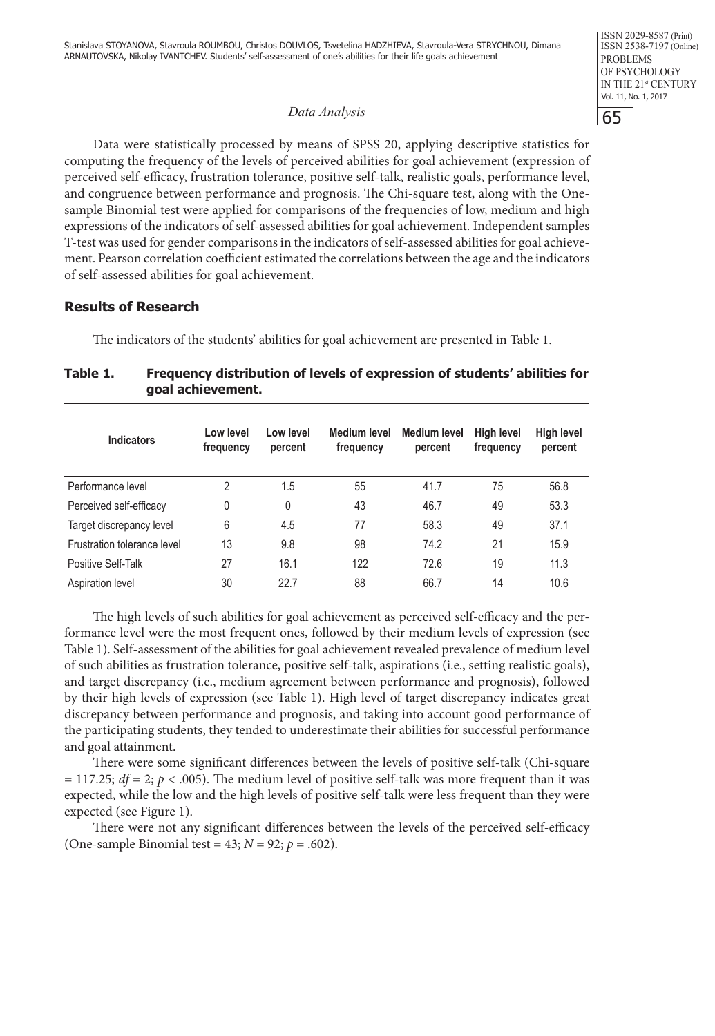#### *Data Analysis*

Data were statistically processed by means of SPSS 20, applying descriptive statistics for computing the frequency of the levels of perceived abilities for goal achievement (expression of perceived self-efficacy, frustration tolerance, positive self-talk, realistic goals, performance level, and congruence between performance and prognosis. The Chi-square test, along with the Onesample Binomial test were applied for comparisons of the frequencies of low, medium and high expressions of the indicators of self-assessed abilities for goal achievement. Independent samples T-test was used for gender comparisons in the indicators of self-assessed abilities for goal achievement. Pearson correlation coefficient estimated the correlations between the age and the indicators of self-assessed abilities for goal achievement.

## **Results of Research**

The indicators of the students' abilities for goal achievement are presented in Table 1.

## **Table 1. Frequency distribution of levels of expression of students' abilities for goal achievement.**

| <b>Indicators</b>           | Low level<br>frequency | Low level<br>percent | Medium level<br>frequency | <b>Medium level</b><br>percent | High level<br>frequency | <b>High level</b><br>percent |
|-----------------------------|------------------------|----------------------|---------------------------|--------------------------------|-------------------------|------------------------------|
| Performance level           | 2                      | 1.5                  | 55                        | 41.7                           | 75                      | 56.8                         |
| Perceived self-efficacy     | 0                      | 0                    | 43                        | 46.7                           | 49                      | 53.3                         |
| Target discrepancy level    | 6                      | 4.5                  | 77                        | 58.3                           | 49                      | 37.1                         |
| Frustration tolerance level | 13                     | 9.8                  | 98                        | 74.2                           | 21                      | 15.9                         |
| Positive Self-Talk          | 27                     | 16.1                 | 122                       | 72.6                           | 19                      | 11.3                         |
| Aspiration level            | 30                     | 22.7                 | 88                        | 66.7                           | 14                      | 10.6                         |

The high levels of such abilities for goal achievement as perceived self-efficacy and the performance level were the most frequent ones, followed by their medium levels of expression (see Table 1). Self-assessment of the abilities for goal achievement revealed prevalence of medium level of such abilities as frustration tolerance, positive self-talk, aspirations (i.e., setting realistic goals), and target discrepancy (i.e., medium agreement between performance and prognosis), followed by their high levels of expression (see Table 1). High level of target discrepancy indicates great discrepancy between performance and prognosis, and taking into account good performance of the participating students, they tended to underestimate their abilities for successful performance and goal attainment.

There were some significant differences between the levels of positive self-talk (Chi-square  $= 117.25$ ;  $df = 2$ ;  $p < .005$ ). The medium level of positive self-talk was more frequent than it was expected, while the low and the high levels of positive self-talk were less frequent than they were expected (see Figure 1).

There were not any significant differences between the levels of the perceived self-efficacy (One-sample Binomial test =  $43$ ; *N* =  $92$ ; *p* = .602).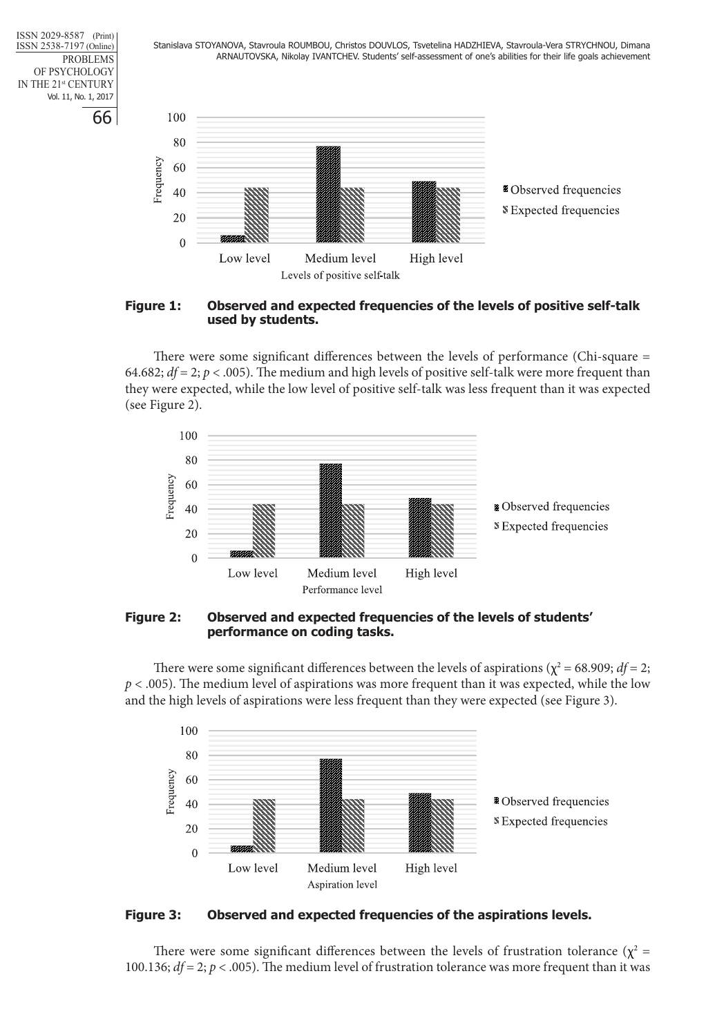Stanislava STOYANOVA, Stavroula ROUMBOU, Christos DOUVLOS, Tsvetelina HADZHIEVA, Stavroula-Vera STRYCHNOU, Dimana ARNAUTOVSKA, Nikolay IVANTCHEV. Students' self-assessment of one's abilities for their life goals achievement

66 ISSN 2029-8587 (Print) ISSN 2538-7197 (Online) PROBLEMS OF PSYCHOLOGY IN THE 21st CENTURY Vol. 11, No. 1, 2017



#### **Figure 1: Observed and expected frequencies of the levels of positive self-talk used by students.**

There were some significant differences between the levels of performance (Chi-square = 64.682;  $df = 2$ ;  $p < .005$ ). The medium and high levels of positive self-talk were more frequent than they were expected, while the low level of positive self-talk was less frequent than it was expected (see Figure 2).



**Figure 2: Observed and expected frequencies of the levels of students' performance on coding tasks.** 

There were some significant differences between the levels of aspirations ( $\chi^2$  = 68.909;  $df$  = 2;  $p < .005$ ). The medium level of aspirations was more frequent than it was expected, while the low and the high levels of aspirations were less frequent than they were expected (see Figure 3).



**Figure 3: Observed and expected frequencies of the aspirations levels.** 

There were some significant differences between the levels of frustration tolerance ( $\chi^2$  = 100.136; *df* = 2; *p* < .005). The medium level of frustration tolerance was more frequent than it was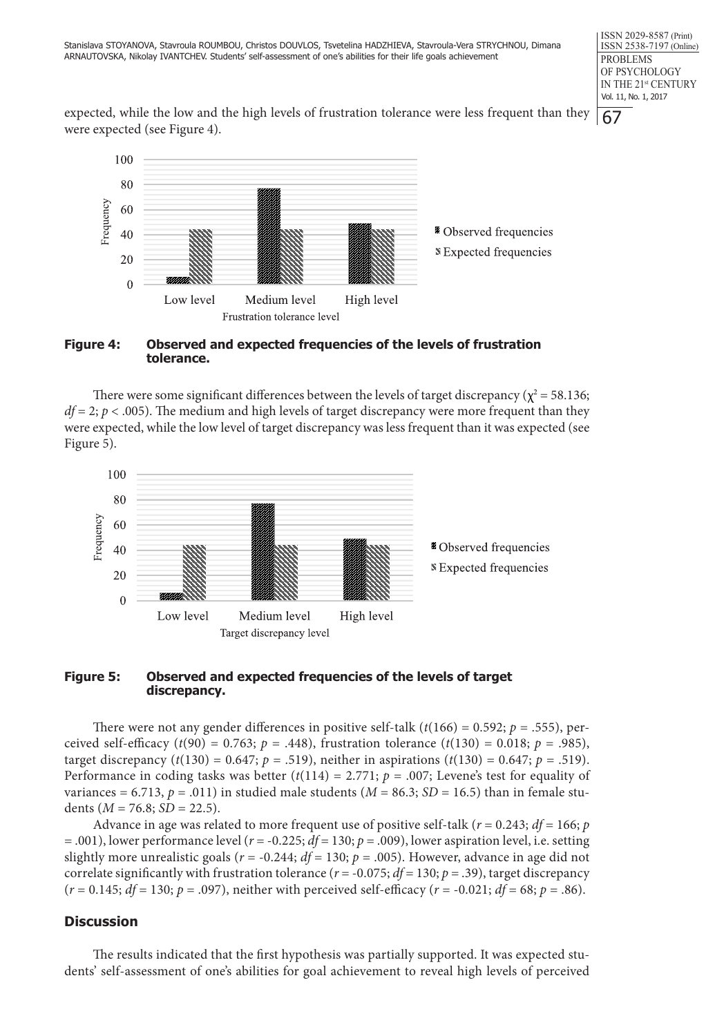expected, while the low and the high levels of frustration tolerance were less frequent than they were expected (see Figure 4).



#### **Figure 4: Observed and expected frequencies of the levels of frustration tolerance.**

There were some significant differences between the levels of target discrepancy ( $\chi^2$  = 58.136;  $df = 2$ ;  $p < .005$ ). The medium and high levels of target discrepancy were more frequent than they were expected, while the low level of target discrepancy was less frequent than it was expected (see Figure 5).



## **Figure 5: Observed and expected frequencies of the levels of target discrepancy.**

There were not any gender differences in positive self-talk  $(t(166) = 0.592; p = .555)$ , perceived self-efficacy ( $t(90) = 0.763$ ;  $p = .448$ ), frustration tolerance ( $t(130) = 0.018$ ;  $p = .985$ ), target discrepancy ( $t(130) = 0.647$ ;  $p = .519$ ), neither in aspirations ( $t(130) = 0.647$ ;  $p = .519$ ). Performance in coding tasks was better  $(t(114) = 2.771$ ;  $p = .007$ ; Levene's test for equality of variances = 6.713,  $p = .011$ ) in studied male students ( $M = 86.3$ ;  $SD = 16.5$ ) than in female students  $(M = 76.8; SD = 22.5)$ .

Advance in age was related to more frequent use of positive self-talk ( $r = 0.243$ ;  $df = 166$ ;  $p$ = .001), lower performance level (*r* = -0.225; *df* = 130; *p* = .009), lower aspiration level, i.e. setting slightly more unrealistic goals ( $r = -0.244$ ;  $df = 130$ ;  $p = .005$ ). However, advance in age did not correlate significantly with frustration tolerance ( $r = -0.075$ ;  $df = 130$ ;  $p = .39$ ), target discrepancy  $(r = 0.145; df = 130; p = .097)$ , neither with perceived self-efficacy  $(r = -0.021; df = 68; p = .86)$ .

# **Discussion**

The results indicated that the first hypothesis was partially supported. It was expected students' self-assessment of one's abilities for goal achievement to reveal high levels of perceived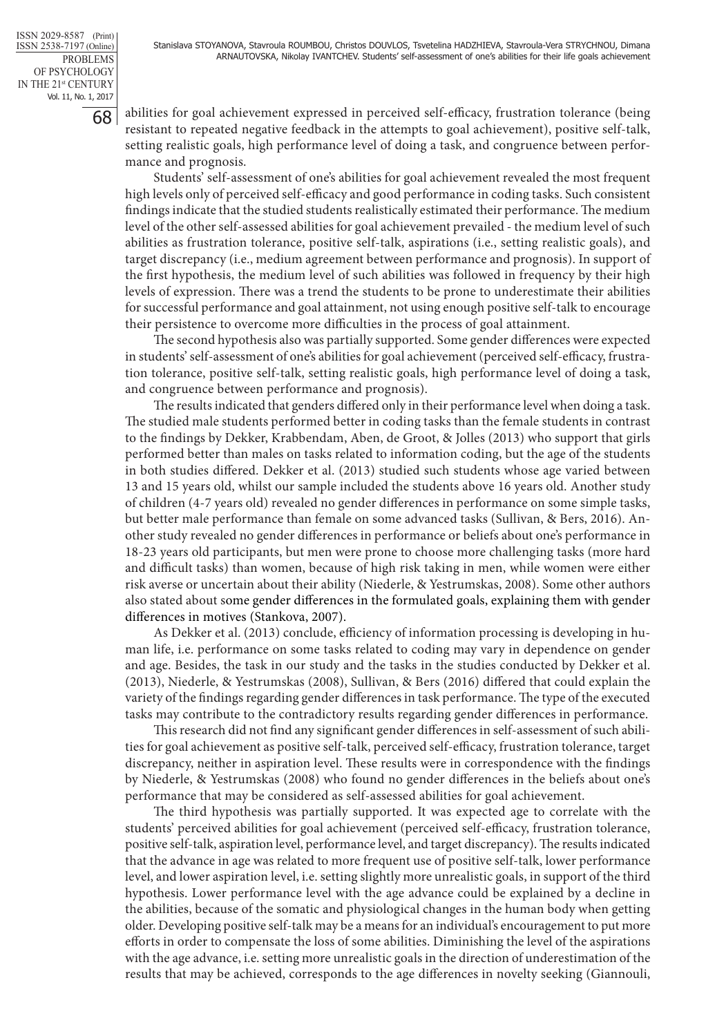68

abilities for goal achievement expressed in perceived self-efficacy, frustration tolerance (being resistant to repeated negative feedback in the attempts to goal achievement), positive self-talk, setting realistic goals, high performance level of doing a task, and congruence between performance and prognosis.

Students' self-assessment of one's abilities for goal achievement revealed the most frequent high levels only of perceived self-efficacy and good performance in coding tasks. Such consistent findings indicate that the studied students realistically estimated their performance. The medium level of the other self-assessed abilities for goal achievement prevailed - the medium level of such abilities as frustration tolerance, positive self-talk, aspirations (i.e., setting realistic goals), and target discrepancy (i.e., medium agreement between performance and prognosis). In support of the first hypothesis, the medium level of such abilities was followed in frequency by their high levels of expression. There was a trend the students to be prone to underestimate their abilities for successful performance and goal attainment, not using enough positive self-talk to encourage their persistence to overcome more difficulties in the process of goal attainment.

The second hypothesis also was partially supported. Some gender differences were expected in students' self-assessment of one's abilities for goal achievement (perceived self-efficacy, frustration tolerance, positive self-talk, setting realistic goals, high performance level of doing a task, and congruence between performance and prognosis).

The results indicated that genders differed only in their performance level when doing a task. The studied male students performed better in coding tasks than the female students in contrast to the findings by Dekker, Krabbendam, Aben, de Groot, & Jolles (2013) who support that girls performed better than males on tasks related to information coding, but the age of the students in both studies differed. Dekker et al. (2013) studied such students whose age varied between 13 and 15 years old, whilst our sample included the students above 16 years old. Another study of children (4-7 years old) revealed no gender differences in performance on some simple tasks, but better male performance than female on some advanced tasks (Sullivan, & Bers, 2016). Another study revealed no gender differences in performance or beliefs about one's performance in 18-23 years old participants, but men were prone to choose more challenging tasks (more hard and difficult tasks) than women, because of high risk taking in men, while women were either risk averse or uncertain about their ability (Niederle, & Yestrumskas, 2008). Some other authors also stated about some gender differences in the formulated goals, explaining them with gender differences in motives (Stankova, 2007).

As Dekker et al. (2013) conclude, efficiency of information processing is developing in human life, i.e. performance on some tasks related to coding may vary in dependence on gender and age. Besides, the task in our study and the tasks in the studies conducted by Dekker et al. (2013), Niederle, & Yestrumskas (2008), Sullivan, & Bers (2016) differed that could explain the variety of the findings regarding gender differences in task performance. The type of the executed tasks may contribute to the contradictory results regarding gender differences in performance.

This research did not find any significant gender differences in self-assessment of such abilities for goal achievement as positive self-talk, perceived self-efficacy, frustration tolerance, target discrepancy, neither in aspiration level. These results were in correspondence with the findings by Niederle, & Yestrumskas (2008) who found no gender differences in the beliefs about one's performance that may be considered as self-assessed abilities for goal achievement.

The third hypothesis was partially supported. It was expected age to correlate with the students' perceived abilities for goal achievement (perceived self-efficacy, frustration tolerance, positive self-talk, aspiration level, performance level, and target discrepancy). The results indicated that the advance in age was related to more frequent use of positive self-talk, lower performance level, and lower aspiration level, i.e. setting slightly more unrealistic goals, in support of the third hypothesis. Lower performance level with the age advance could be explained by a decline in the abilities, because of the somatic and physiological changes in the human body when getting older. Developing positive self-talk may be a means for an individual's encouragement to put more efforts in order to compensate the loss of some abilities. Diminishing the level of the aspirations with the age advance, i.e. setting more unrealistic goals in the direction of underestimation of the results that may be achieved, corresponds to the age differences in novelty seeking (Giannouli,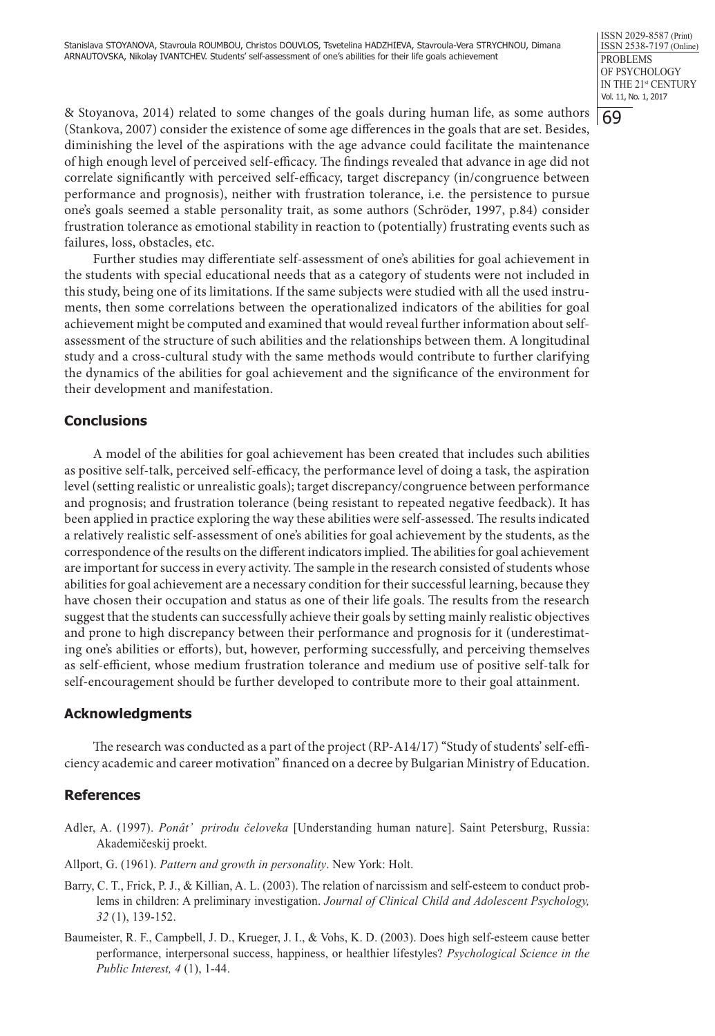69

& Stoyanova, 2014) related to some changes of the goals during human life, as some authors (Stankova, 2007) consider the existence of some age differences in the goals that are set. Besides, diminishing the level of the aspirations with the age advance could facilitate the maintenance of high enough level of perceived self-efficacy. The findings revealed that advance in age did not correlate significantly with perceived self-efficacy, target discrepancy (in/congruence between performance and prognosis), neither with frustration tolerance, i.e. the persistence to pursue one's goals seemed a stable personality trait, as some authors (Schröder, 1997, p.84) consider frustration tolerance as emotional stability in reaction to (potentially) frustrating events such as failures, loss, obstacles, etc.

Further studies may differentiate self-assessment of one's abilities for goal achievement in the students with special educational needs that as a category of students were not included in this study, being one of its limitations. If the same subjects were studied with all the used instruments, then some correlations between the operationalized indicators of the abilities for goal achievement might be computed and examined that would reveal further information about selfassessment of the structure of such abilities and the relationships between them. A longitudinal study and a cross-cultural study with the same methods would contribute to further clarifying the dynamics of the abilities for goal achievement and the significance of the environment for their development and manifestation.

# **Conclusions**

A model of the abilities for goal achievement has been created that includes such abilities as positive self-talk, perceived self-efficacy, the performance level of doing a task, the aspiration level (setting realistic or unrealistic goals); target discrepancy/congruence between performance and prognosis; and frustration tolerance (being resistant to repeated negative feedback). It has been applied in practice exploring the way these abilities were self-assessed. The results indicated a relatively realistic self-assessment of one's abilities for goal achievement by the students, as the correspondence of the results on the different indicators implied. The abilities for goal achievement are important for success in every activity. The sample in the research consisted of students whose abilities for goal achievement are a necessary condition for their successful learning, because they have chosen their occupation and status as one of their life goals. The results from the research suggest that the students can successfully achieve their goals by setting mainly realistic objectives and prone to high discrepancy between their performance and prognosis for it (underestimating one's abilities or efforts), but, however, performing successfully, and perceiving themselves as self-efficient, whose medium frustration tolerance and medium use of positive self-talk for self-encouragement should be further developed to contribute more to their goal attainment.

# **Acknowledgments**

The research was conducted as a part of the project (RP-A14/17) "Study of students' self-efficiency academic and career motivation" financed on a decree by Bulgarian Ministry of Education.

# **References**

- Adler, A. (1997). *Ponât' prirodu čeloveka* [Understanding human nature]. Saint Petersburg, Russia: Akademičeskij proekt.
- Allport, G. (1961). *Pattern and growth in personality*. New York: Holt.
- Barry, C. T., Frick, P. J., & Killian, A. L. (2003). The relation of narcissism and self-esteem to conduct problems in children: A preliminary investigation. *Journal of Clinical Child and Adolescent Psychology, 32* (1), 139-152.
- Baumeister, R. F., Campbell, J. D., Krueger, J. I., & Vohs, K. D. (2003). Does high self-esteem cause better performance, interpersonal success, happiness, or healthier lifestyles? *Psychological Science in the Public Interest, 4* (1), 1-44.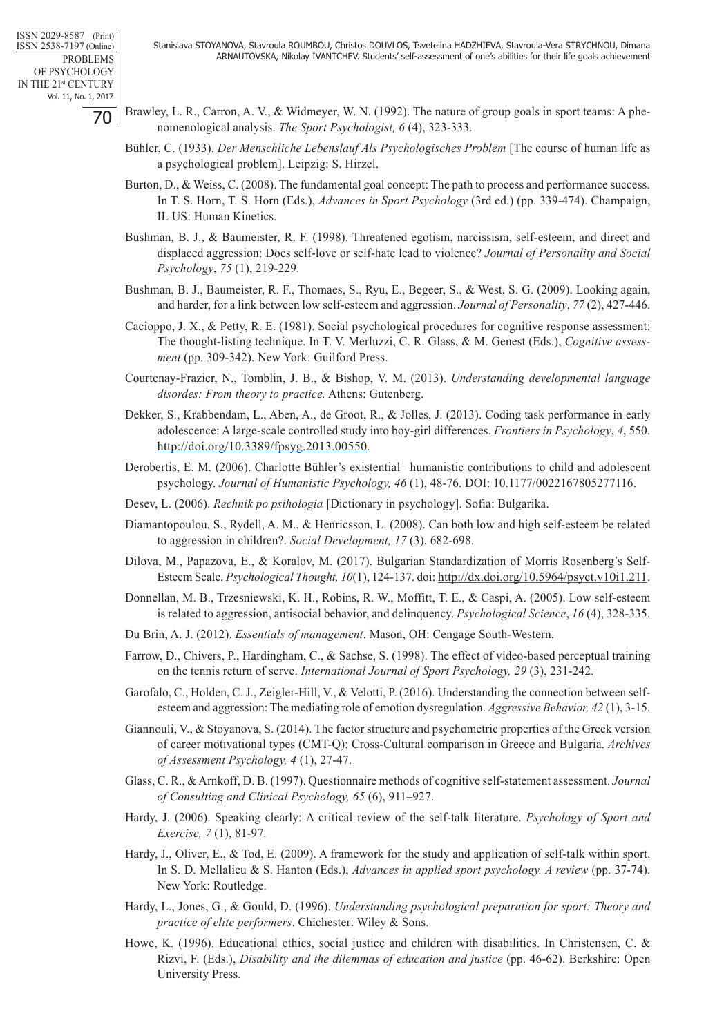- Brawley, L. R., Carron, A. V., & Widmeyer, W. N. (1992). The nature of group goals in sport teams: A phenomenological analysis. *The Sport Psychologist, 6* (4), 323-333.
	- Bühler, C. (1933). *Der Menschliche Lebenslauf Als Psychologisches Problem* [The course of human life as a psychological problem]. Leipzig: S. Hirzel.
	- Burton, D., & Weiss, C. (2008). The fundamental goal concept: The path to process and performance success. In T. S. Horn, T. S. Horn (Eds.), *Advances in Sport Psychology* (3rd ed.) (pp. 339-474). Champaign, IL US: Human Kinetics.
	- Bushman, B. J., & Baumeister, R. F. (1998). Threatened egotism, narcissism, self-esteem, and direct and displaced aggression: Does self-love or self-hate lead to violence? *Journal of Personality and Social Psychology*, *75* (1), 219-229.
	- Bushman, B. J., Baumeister, R. F., Thomaes, S., Ryu, E., Begeer, S., & West, S. G. (2009). Looking again, and harder, for a link between low self-esteem and aggression. *Journal of Personality*, *77* (2), 427-446.
	- Cacioppo, J. X., & Petty, R. E. (1981). Social psychological procedures for cognitive response assessment: The thought-listing technique. In T. V. Merluzzi, C. R. Glass, & M. Genest (Eds.), *Cognitive assessment* (pp. 309-342). New York: Guilford Press.
	- Courtenay-Frazier, N., Tomblin, J. B., & Bishop, V. M. (2013). *Understanding developmental language disordes: From theory to practice.* Athens: Gutenberg.
	- Dekker, S., Krabbendam, L., Aben, A., de Groot, R., & Jolles, J. (2013). Coding task performance in early adolescence: A large-scale controlled study into boy-girl differences. *Frontiers in Psychology*, *4*, 550. http://doi.org/10.3389/fpsyg.2013.00550.
	- Derobertis, E. M. (2006). Charlotte Bühler's existential– humanistic contributions to child and adolescent psychology. *Journal of Humanistic Psychology, 46* (1), 48-76. DOI: 10.1177/0022167805277116.
	- Desev, L. (2006). *Rechnik po psihologia* [Dictionary in psychology]. Sofia: Bulgarika.
	- Diamantopoulou, S., Rydell, A. M., & Henricsson, L. (2008). Can both low and high self-esteem be related to aggression in children?. *Social Development, 17* (3), 682-698.
	- Dilova, M., Papazova, E., & Koralov, M. (2017). Bulgarian Standardization of Morris Rosenberg's Self-Esteem Scale. *Psychological Thought, 10*(1), 124-137. doi: http://dx.doi.org/10.5964/psyct.v10i1.211.
	- Donnellan, M. B., Trzesniewski, K. H., Robins, R. W., Moffitt, T. E., & Caspi, A. (2005). Low self-esteem is related to aggression, antisocial behavior, and delinquency. *Psychological Science*, *16* (4), 328-335.
	- Du Brin, A. J. (2012). *Essentials of management*. Mason, OH: Cengage South-Western.
	- Farrow, D., Chivers, P., Hardingham, C., & Sachse, S. (1998). The effect of video-based perceptual training on the tennis return of serve. *International Journal of Sport Psychology, 29* (3), 231-242.
	- Garofalo, C., Holden, C. J., Zeigler-Hill, V., & Velotti, P. (2016). Understanding the connection between selfesteem and aggression: The mediating role of emotion dysregulation. *Aggressive Behavior, 42* (1), 3-15.
	- Giannouli, V., & Stoyanova, S. (2014). The factor structure and psychometric properties of the Greek version of career motivational types (CMT-Q): Cross-Cultural comparison in Greece and Bulgaria. *Archives of Assessment Psychology, 4* (1), 27-47.
	- Glass, C. R., & Arnkoff, D. B. (1997). Questionnaire methods of cognitive self-statement assessment. *Journal of Consulting and Clinical Psychology, 65* (6), 911–927.
	- Hardy, J. (2006). Speaking clearly: A critical review of the self-talk literature. *Psychology of Sport and Exercise, 7* (1), 81-97.
	- Hardy, J., Oliver, E., & Tod, E. (2009). A framework for the study and application of self-talk within sport. In S. D. Mellalieu & S. Hanton (Eds.), *Advances in applied sport psychology. A review* (pp. 37-74). New York: Routledge.
	- Hardy, L., Jones, G., & Gould, D. (1996). *Understanding psychological preparation for sport: Theory and practice of elite performers*. Chichester: Wiley & Sons.
	- Howe, K. (1996). Educational ethics, social justice and children with disabilities. In Christensen, C. & Rizvi, F. (Eds.), *Disability and the dilemmas of education and justice* (pp. 46-62). Berkshire: Open University Press.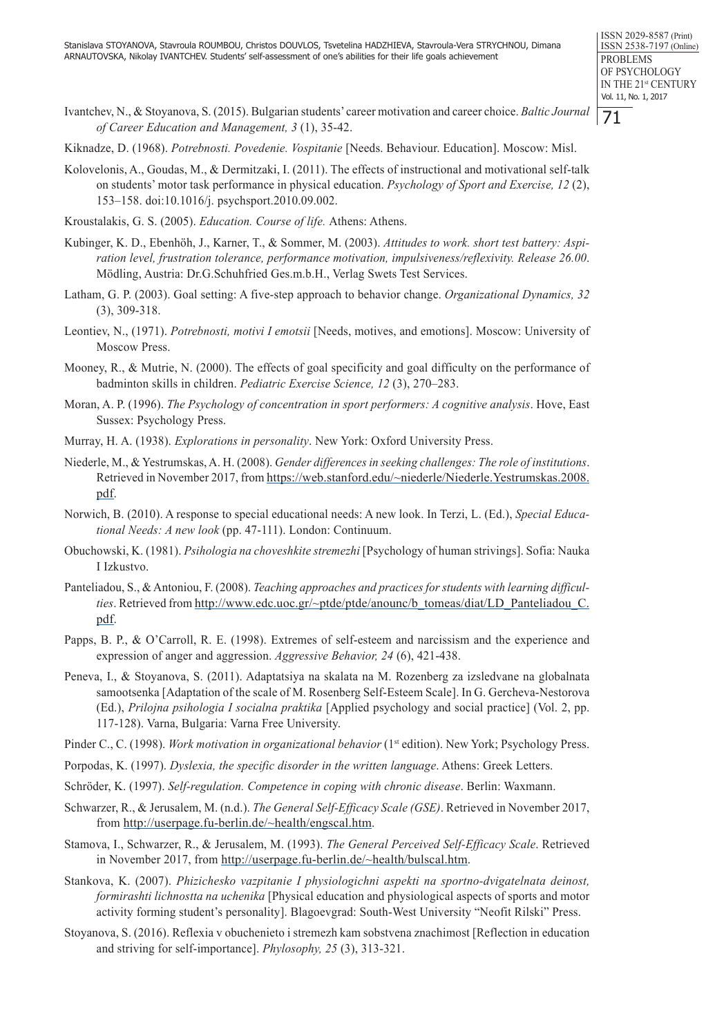71

- Ivantchev, N., & Stoyanova, S. (2015). Bulgarian students' career motivation and career choice. *Baltic Journal of Career Education and Management, 3* (1), 35-42.
- Kiknadze, D. (1968). *Potrebnosti. Povedenie. Vospitanie* [Needs. Behaviour. Education]. Moscow: Misl.
- Kolovelonis, A., Goudas, M., & Dermitzaki, I. (2011). The effects of instructional and motivational self-talk on students' motor task performance in physical education. *Psychology of Sport and Exercise, 12* (2), 153–158. doi:10.1016/j. psychsport.2010.09.002.
- Kroustalakis, G. S. (2005). *Education. Course of life.* Athens: Athens.
- Kubinger, K. D., Ebenhöh, J., Karner, T., & Sommer, M. (2003). *Attitudes to work. short test battery: Aspiration level, frustration tolerance, performance motivation, impulsiveness/reflexivity. Release 26.00*. Mödling, Austria: Dr.G.Schuhfried Ges.m.b.H., Verlag Swets Test Services.
- Latham, G. P. (2003). Goal setting: A five-step approach to behavior change. *Organizational Dynamics, 32*  (3), 309-318.
- Leontiev, N., (1971). *Potrebnosti, motivi I emotsii* [Needs, motives, and emotions]. Moscow: University of Moscow Press.
- Mooney, R., & Mutrie, N. (2000). The effects of goal specificity and goal difficulty on the performance of badminton skills in children. *Pediatric Exercise Science, 12* (3), 270–283.
- Moran, A. P. (1996). *The Psychology of concentration in sport performers: A cognitive analysis*. Hove, East Sussex: Psychology Press.
- Murray, H. A. (1938). *Explorations in personality*. New York: Oxford University Press.
- Niederle, M., & Yestrumskas, A. H. (2008). *Gender differences in seeking challenges: The role of institutions*. Retrieved in November 2017, from https://web.stanford.edu/~niederle/Niederle.Yestrumskas.2008. pdf.
- Norwich, B. (2010). A response to special educational needs: A new look. In Terzi, L. (Ed.), *Special Educational Needs: A new look* (pp. 47-111). London: Continuum.
- Obuchowski, K. (1981). *Psihologia na choveshkite stremezhi* [Psychology of human strivings]. Sofia: Nauka I Izkustvo.
- Panteliadou, S., & Antoniou, F. (2008). *Teaching approaches and practices for students with learning difficulties*. Retrieved from http://www.edc.uoc.gr/~ptde/ptde/anounc/b\_tomeas/diat/LD\_Panteliadou\_C. pdf.
- Papps, B. P., & O'Carroll, R. E. (1998). Extremes of self-esteem and narcissism and the experience and expression of anger and aggression. *Aggressive Behavior, 24* (6), 421-438.
- Peneva, I., & Stoyanova, S. (2011). Adaptatsiya na skalata na M. Rozenberg za izsledvane na globalnata samootsenka [Adaptation of the scale of M. Rosenberg Self-Esteem Scale]. In G. Gercheva-Nestorova (Ed.), *Prilojna psihologia I socialna praktika* [Applied psychology and social practice] (Vol. 2, pp. 117-128). Varna, Bulgaria: Varna Free University.
- Pinder C., C. (1998). *Work motivation in organizational behavior* (1<sup>st</sup> edition). New York; Psychology Press.
- Porpodas, K. (1997). *Dyslexia, the specific disorder in the written language*. Athens: Greek Letters.
- Schröder, K. (1997). *Self-regulation. Competence in coping with chronic disease*. Berlin: Waxmann.
- Schwarzer, R., & Jerusalem, M. (n.d.). *The General Self-Efficacy Scale (GSE)*. Retrieved in November 2017, from http://userpage.fu-berlin.de/~health/engscal.htm.
- Stamova, I., Schwarzer, R., & Jerusalem, M. (1993). *The General Perceived Self-Efficacy Scale*. Retrieved in November 2017, from http://userpage.fu-berlin.de/~health/bulscal.htm.
- Stankova, K. (2007). *Phizichesko vazpitanie I physiologichni aspekti na sportno-dvigatelnata deinost, formirashti lichnostta na uchenika* [Physical education and physiological aspects of sports and motor activity forming student's personality]. Blagoevgrad: South-West University "Neofit Rilski" Press.
- Stoyanova, S. (2016). Reflexia v obuchenieto i stremezh kam sobstvena znachimost [Reflection in education and striving for self-importance]. *Phylosophy, 25* (3), 313-321.